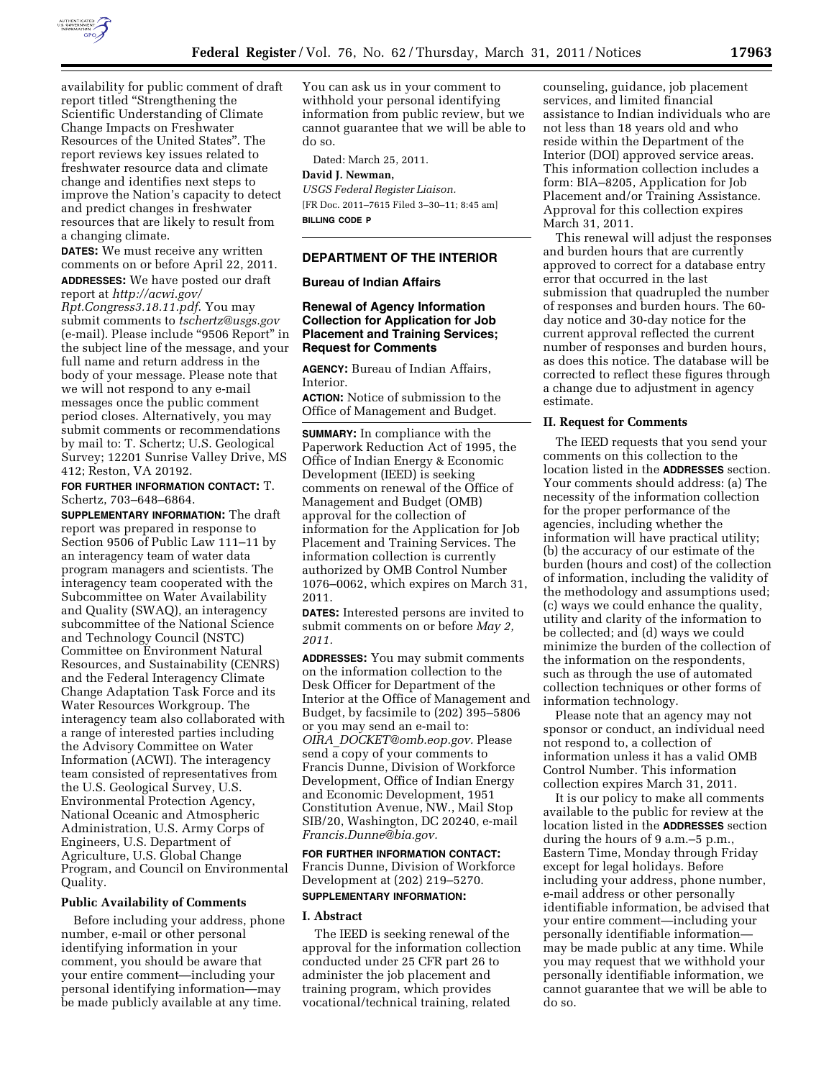

availability for public comment of draft report titled ''Strengthening the Scientific Understanding of Climate Change Impacts on Freshwater Resources of the United States''. The report reviews key issues related to freshwater resource data and climate change and identifies next steps to improve the Nation's capacity to detect and predict changes in freshwater resources that are likely to result from a changing climate.

**DATES:** We must receive any written comments on or before April 22, 2011. **ADDRESSES:** We have posted our draft

report at *[http://acwi.gov/](http://acwi.gov/Rpt.Congress3.18.11.pdf) [Rpt.Congress3.18.11.pdf](http://acwi.gov/Rpt.Congress3.18.11.pdf)*. You may submit comments to *[tschertz@usgs.gov](mailto:tschertz@usgs.gov)*  (e-mail). Please include ''9506 Report'' in the subject line of the message, and your full name and return address in the body of your message. Please note that we will not respond to any e-mail messages once the public comment period closes. Alternatively, you may submit comments or recommendations by mail to: T. Schertz; U.S. Geological Survey; 12201 Sunrise Valley Drive, MS 412; Reston, VA 20192.

**FOR FURTHER INFORMATION CONTACT:** T. Schertz, 703–648–6864.

**SUPPLEMENTARY INFORMATION:** The draft report was prepared in response to Section 9506 of Public Law 111–11 by an interagency team of water data program managers and scientists. The interagency team cooperated with the Subcommittee on Water Availability and Quality (SWAQ), an interagency subcommittee of the National Science and Technology Council (NSTC) Committee on Environment Natural Resources, and Sustainability (CENRS) and the Federal Interagency Climate Change Adaptation Task Force and its Water Resources Workgroup. The interagency team also collaborated with a range of interested parties including the Advisory Committee on Water Information (ACWI). The interagency team consisted of representatives from the U.S. Geological Survey, U.S. Environmental Protection Agency, National Oceanic and Atmospheric Administration, U.S. Army Corps of Engineers, U.S. Department of Agriculture, U.S. Global Change Program, and Council on Environmental Quality.

#### **Public Availability of Comments**

Before including your address, phone number, e-mail or other personal identifying information in your comment, you should be aware that your entire comment—including your personal identifying information—may be made publicly available at any time.

You can ask us in your comment to withhold your personal identifying information from public review, but we cannot guarantee that we will be able to do so.

Dated: March 25, 2011.

#### **David J. Newman,**

*USGS Federal Register Liaison.*  [FR Doc. 2011–7615 Filed 3–30–11; 8:45 am] **BILLING CODE P** 

#### **DEPARTMENT OF THE INTERIOR**

# **Bureau of Indian Affairs**

# **Renewal of Agency Information Collection for Application for Job Placement and Training Services; Request for Comments**

**AGENCY:** Bureau of Indian Affairs, Interior.

**ACTION:** Notice of submission to the Office of Management and Budget.

**SUMMARY:** In compliance with the Paperwork Reduction Act of 1995, the Office of Indian Energy & Economic Development (IEED) is seeking comments on renewal of the Office of Management and Budget (OMB) approval for the collection of information for the Application for Job Placement and Training Services. The information collection is currently authorized by OMB Control Number 1076–0062, which expires on March 31, 2011.

**DATES:** Interested persons are invited to submit comments on or before *May 2, 2011.* 

**ADDRESSES:** You may submit comments on the information collection to the Desk Officer for Department of the Interior at the Office of Management and Budget, by facsimile to (202) 395–5806 or you may send an e-mail to: *OIRA*\_*[DOCKET@omb.eop.gov.](mailto:OIRA_DOCKET@omb.eop.gov)* Please send a copy of your comments to Francis Dunne, Division of Workforce Development, Office of Indian Energy and Economic Development, 1951 Constitution Avenue, NW., Mail Stop SIB/20, Washington, DC 20240, e-mail *[Francis.Dunne@bia.gov.](mailto:Francis.Dunne@bia.gov)* 

**FOR FURTHER INFORMATION CONTACT:**  Francis Dunne, Division of Workforce Development at (202) 219–5270. **SUPPLEMENTARY INFORMATION:** 

#### **I. Abstract**

The IEED is seeking renewal of the approval for the information collection conducted under 25 CFR part 26 to administer the job placement and training program, which provides vocational/technical training, related

counseling, guidance, job placement services, and limited financial assistance to Indian individuals who are not less than 18 years old and who reside within the Department of the Interior (DOI) approved service areas. This information collection includes a form: BIA–8205, Application for Job Placement and/or Training Assistance. Approval for this collection expires March 31, 2011.

This renewal will adjust the responses and burden hours that are currently approved to correct for a database entry error that occurred in the last submission that quadrupled the number of responses and burden hours. The 60 day notice and 30-day notice for the current approval reflected the current number of responses and burden hours, as does this notice. The database will be corrected to reflect these figures through a change due to adjustment in agency estimate.

#### **II. Request for Comments**

The IEED requests that you send your comments on this collection to the location listed in the **ADDRESSES** section. Your comments should address: (a) The necessity of the information collection for the proper performance of the agencies, including whether the information will have practical utility; (b) the accuracy of our estimate of the burden (hours and cost) of the collection of information, including the validity of the methodology and assumptions used; (c) ways we could enhance the quality, utility and clarity of the information to be collected; and (d) ways we could minimize the burden of the collection of the information on the respondents, such as through the use of automated collection techniques or other forms of information technology.

Please note that an agency may not sponsor or conduct, an individual need not respond to, a collection of information unless it has a valid OMB Control Number. This information collection expires March 31, 2011.

It is our policy to make all comments available to the public for review at the location listed in the **ADDRESSES** section during the hours of 9 a.m.–5 p.m., Eastern Time, Monday through Friday except for legal holidays. Before including your address, phone number, e-mail address or other personally identifiable information, be advised that your entire comment—including your personally identifiable information may be made public at any time. While you may request that we withhold your personally identifiable information, we cannot guarantee that we will be able to do so.